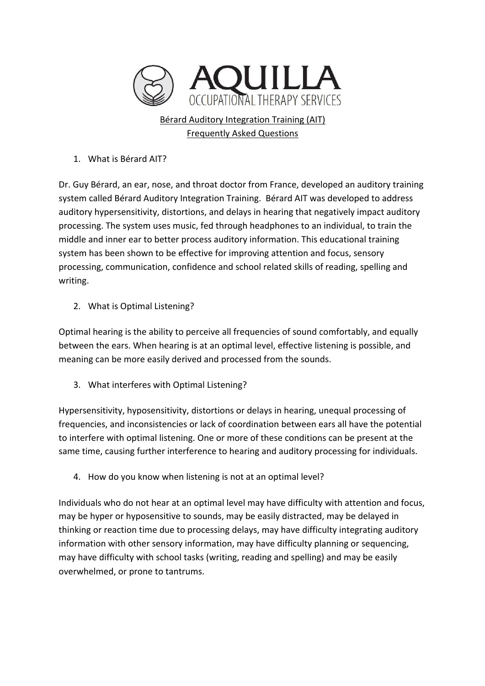

1. What is Bérard AIT?

Dr. Guy Bérard, an ear, nose, and throat doctor from France, developed an auditory training system called Bérard Auditory Integration Training. Bérard AIT was developed to address auditory hypersensitivity, distortions, and delays in hearing that negatively impact auditory processing. The system uses music, fed through headphones to an individual, to train the middle and inner ear to better process auditory information. This educational training system has been shown to be effective for improving attention and focus, sensory processing, communication, confidence and school related skills of reading, spelling and writing. 

2. What is Optimal Listening?

Optimal hearing is the ability to perceive all frequencies of sound comfortably, and equally between the ears. When hearing is at an optimal level, effective listening is possible, and meaning can be more easily derived and processed from the sounds.

3. What interferes with Optimal Listening?

Hypersensitivity, hyposensitivity, distortions or delays in hearing, unequal processing of frequencies, and inconsistencies or lack of coordination between ears all have the potential to interfere with optimal listening. One or more of these conditions can be present at the same time, causing further interference to hearing and auditory processing for individuals.

4. How do you know when listening is not at an optimal level?

Individuals who do not hear at an optimal level may have difficulty with attention and focus, may be hyper or hyposensitive to sounds, may be easily distracted, may be delayed in thinking or reaction time due to processing delays, may have difficulty integrating auditory information with other sensory information, may have difficulty planning or sequencing, may have difficulty with school tasks (writing, reading and spelling) and may be easily overwhelmed, or prone to tantrums.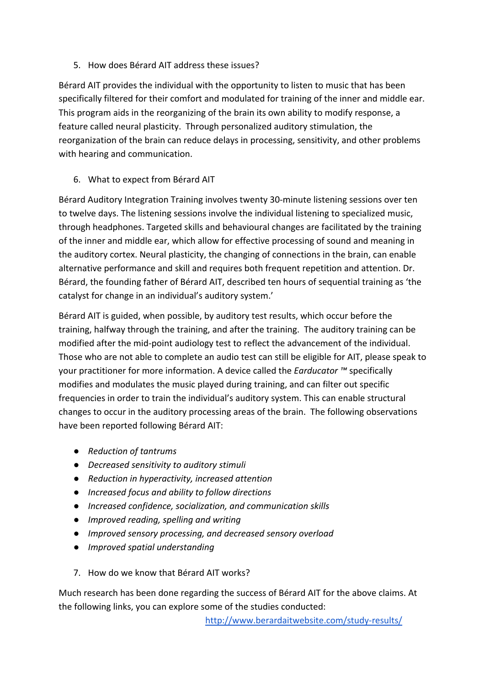5. How does Bérard AIT address these issues?

Bérard AIT provides the individual with the opportunity to listen to music that has been specifically filtered for their comfort and modulated for training of the inner and middle ear. This program aids in the reorganizing of the brain its own ability to modify response, a feature called neural plasticity. Through personalized auditory stimulation, the reorganization of the brain can reduce delays in processing, sensitivity, and other problems with hearing and communication.

6. What to expect from Bérard AIT

Bérard Auditory Integration Training involves twenty 30-minute listening sessions over ten to twelve days. The listening sessions involve the individual listening to specialized music, through headphones. Targeted skills and behavioural changes are facilitated by the training of the inner and middle ear, which allow for effective processing of sound and meaning in the auditory cortex. Neural plasticity, the changing of connections in the brain, can enable alternative performance and skill and requires both frequent repetition and attention. Dr. Bérard, the founding father of Bérard AIT, described ten hours of sequential training as 'the catalyst for change in an individual's auditory system.'

Bérard AIT is guided, when possible, by auditory test results, which occur before the training, halfway through the training, and after the training. The auditory training can be modified after the mid-point audiology test to reflect the advancement of the individual. Those who are not able to complete an audio test can still be eligible for AIT, please speak to your practitioner for more information. A device called the *Earducator* ™ specifically modifies and modulates the music played during training, and can filter out specific frequencies in order to train the individual's auditory system. This can enable structural changes to occur in the auditory processing areas of the brain. The following observations have been reported following Bérard AIT:

- *Reduction of tantrums*
- *Decreased sensitivity to auditory stimuli*
- *Reduction in hyperactivity, increased attention*
- *Increased focus and ability to follow directions*
- *Increased confidence, socialization, and communication skills*
- **•** *Improved reading, spelling and writing*
- $\bullet$  *Improved sensory processing, and decreased sensory overload*
- *Improved spatial understanding*
- 7. How do we know that Bérard AIT works?

Much research has been done regarding the success of Bérard AIT for the above claims. At the following links, you can explore some of the studies conducted:

http://www.berardaitwebsite.com/study-results/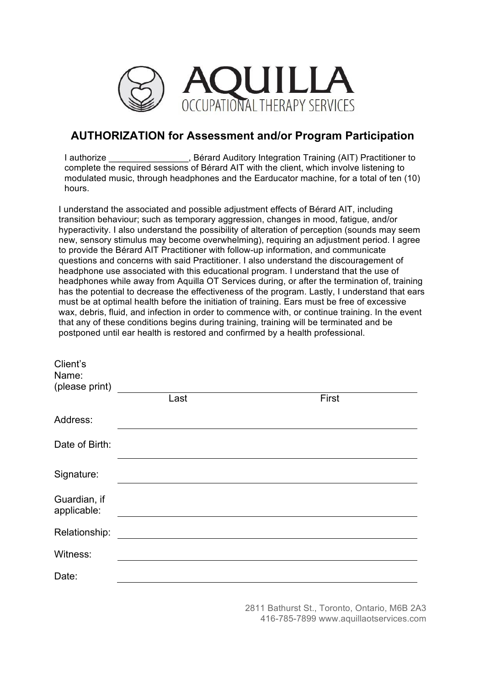

## **AUTHORIZATION for Assessment and/or Program Participation**

I authorize **Integration Clubset Auditory Integration Training (AIT) Practitioner to** complete the required sessions of Bérard AIT with the client, which involve listening to modulated music, through headphones and the Earducator machine, for a total of ten (10) hours.

I understand the associated and possible adjustment effects of Bérard AIT, including transition behaviour; such as temporary aggression, changes in mood, fatigue, and/or hyperactivity. I also understand the possibility of alteration of perception (sounds may seem new, sensory stimulus may become overwhelming), requiring an adjustment period. I agree to provide the Bérard AIT Practitioner with follow-up information, and communicate questions and concerns with said Practitioner. I also understand the discouragement of headphone use associated with this educational program. I understand that the use of headphones while away from Aquilla OT Services during, or after the termination of, training has the potential to decrease the effectiveness of the program. Lastly, I understand that ears must be at optimal health before the initiation of training. Ears must be free of excessive wax, debris, fluid, and infection in order to commence with, or continue training. In the event that any of these conditions begins during training, training will be terminated and be postponed until ear health is restored and confirmed by a health professional.

| Client's<br>Name:<br>(please print) |      |       |  |
|-------------------------------------|------|-------|--|
|                                     | Last | First |  |
| Address:                            |      |       |  |
| Date of Birth:                      |      |       |  |
| Signature:                          |      |       |  |
| Guardian, if<br>applicable:         |      |       |  |
| Relationship:                       |      |       |  |
| Witness:                            |      |       |  |
| Date:                               |      |       |  |

2811 Bathurst St., Toronto, Ontario, M6B 2A3 416-785-7899 www.aquillaotservices.com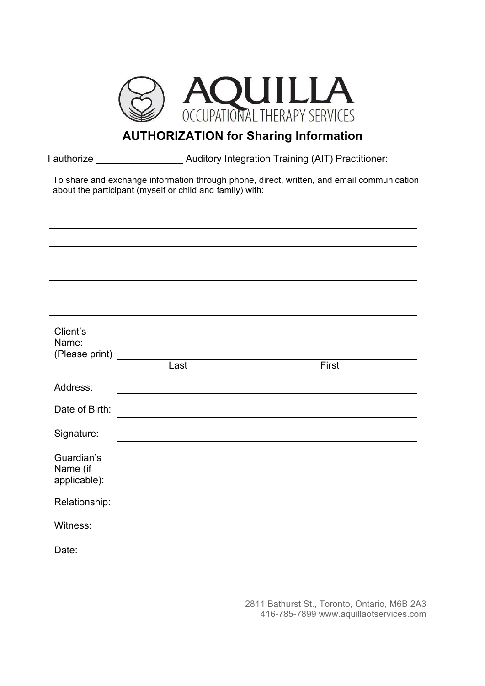

## **AUTHORIZATION for Sharing Information**

I authorize \_\_\_\_\_\_\_\_\_\_\_\_\_\_\_\_ Auditory Integration Training (AIT) Practitioner:

To share and exchange information through phone, direct, written, and email communication about the participant (myself or child and family) with:

| Client's<br>Name:<br>(Please print)    |      |       |
|----------------------------------------|------|-------|
|                                        | Last | First |
| Address:                               |      |       |
| Date of Birth:                         |      |       |
| Signature:                             |      |       |
| Guardian's<br>Name (if<br>applicable): |      |       |
| Relationship:                          |      |       |
| Witness:                               |      |       |
| Date:                                  |      |       |

2811 Bathurst St., Toronto, Ontario, M6B 2A3 416-785-7899 www.aquillaotservices.com